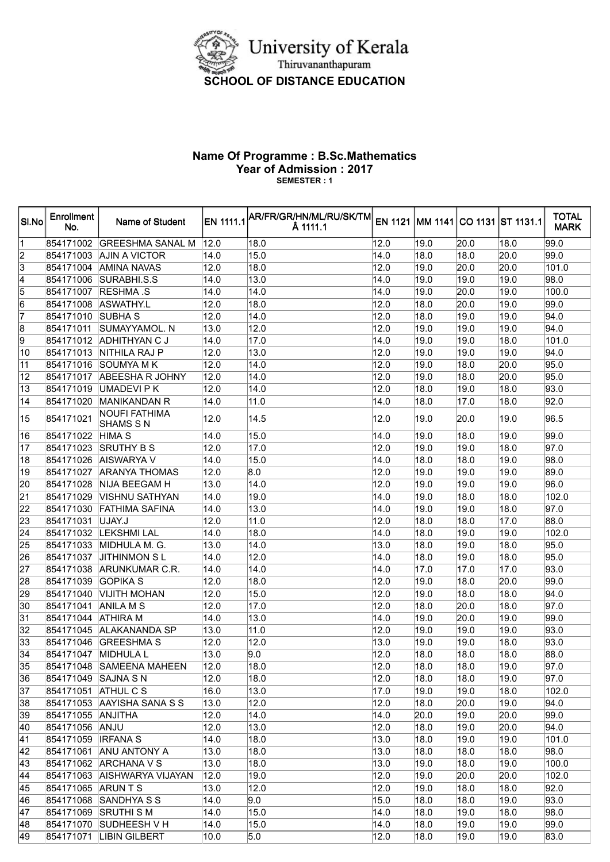

## Name Of Programme : B.Sc.Mathematics Year of Admission : 2017 SEMESTER : 1

| 854171002<br>12.0<br> 12.0<br>19.0<br>18.0<br> 99.0 <br>IGREESHMA SANAL M<br>18.0<br> 20.0<br>$\frac{2}{3}$<br><b>AJIN A VICTOR</b><br>14.0<br>15.0<br> 14.0<br> 18.0<br> 18.0<br>20.0<br> 99.0<br>854171003<br>12.0<br>854171004<br><b>AMINA NAVAS</b><br>12.0<br> 18.0<br> 19.0<br>20.0<br>20.0<br>101.0<br> 14.0<br>854171006<br>SURABHI.S.S<br>14.0<br> 13.0<br> 19.0<br> 19.0<br> 19.0<br> 98.0<br>100.0<br><b>RESHMA .S</b><br>14.0<br> 14.0<br> 14.0<br> 19.0<br>20.0<br> 19.0<br>854171007<br>12.0<br>19.0<br>854171008<br>ASWATHY.L<br>12.0<br> 18.0<br> 18.0<br>20.0<br> 99.0<br>7<br>12.0<br>12.0<br>19.0<br>854171010<br><b>SUBHA S</b><br> 14.0<br> 18.0<br>19.0<br> 94.0<br>13.0<br>12.0<br>12.0<br>19.0<br>854171011<br>SUMAYYAMOL. N<br> 19.0<br> 19.0<br> 94.0<br>14.0<br>19.0<br>854171012 ADHITHYAN C J<br>14.0<br>17.0<br> 19.0<br> 18.0<br>101.0<br>13.0<br>12.0<br>19.0<br>854171013 NITHILA RAJ P<br>12.0<br> 19.0<br> 19.0<br> 94.0<br>12.0<br>20.0<br>854171016<br>SOUMYA M K<br>12.0<br> 14.0<br> 19.0<br> 18.0<br>95.0<br>12.0<br>20.0<br>854171017 ABEESHA R JOHNY<br>12.0<br> 14.0<br> 19.0<br> 18.0<br>95.0<br>12.0<br>19.0<br>854171019<br>UMADEVI P K<br>12.0<br> 14.0<br> 18.0<br> 18.0<br> 93.0<br>14.0<br>17.0<br>854171020 MANIKANDAN R<br>14.0<br> 11.0<br>18.0<br> 18.0<br>92.0<br><b>NOUFI FATHIMA</b><br>854171021<br>12.0<br> 14.5<br> 12.0<br>19.0<br>96.5<br>19.0<br> 20.0<br><b>SHAMS S N</b><br>15.0<br> 14.0<br>99.0<br>854171022<br><b>HIMA S</b><br>14.0<br>19.0<br>18.0<br>19.0<br>12.0<br>854171023<br><b>SRUTHY B S</b><br>12.0<br>17.0<br> 19.0<br> 19.0 <br> 18.0<br> 97.0<br>854171026<br><b>AISWARYA V</b><br>14.0<br>15.0<br> 14.0<br> 18.0<br> 18.0<br> 19.0<br> 98.0<br>854171027<br><b>ARANYA THOMAS</b><br>12.0<br>8.0<br> 12.0<br> 19.0<br> 19.0<br> 19.0<br>89.0<br>20<br>13.0<br> 14.0<br> 12.0<br> 19.0<br>19.0<br> 96.0 <br>854171028<br>NIJA BEEGAM H<br> 19.0<br>21<br>102.0<br><b>VISHNU SATHYAN</b><br>14.0<br>19.0<br> 14.0<br>19.0<br> 18.0<br> 18.0<br>854171029<br><b>FATHIMA SAFINA</b><br>14.0<br> 13.0<br> 14.0<br>19.0<br> 19.0<br>18.0<br>97.0<br>854171030<br>23<br>854171031<br>UJAY.J<br>12.0<br> 11.0<br> 12.0<br>18.0<br> 18.0<br>17.0<br>88.0<br>24<br>102.0<br>854171032 LEKSHMI LAL<br>14.0<br> 18.0<br> 14.0<br>18.0<br> 19.0<br>19.0<br>854171033 MIDHULA M. G.<br>13.0<br> 14.0<br>13.0<br> 18.0<br> 19.0<br> 18.0<br>95.0<br>854171037<br><b>JITHINMON SL</b><br>14.0<br> 12.0<br> 14.0<br> 18.0<br> 19.0<br> 18.0<br>95.0<br>27<br>854171038 ARUNKUMAR C.R.<br>14.0<br> 14.0<br> 14.0<br> 17.0<br> 17.0<br>17.0<br> 93.0<br>28<br><b>GOPIKA S</b><br>12.0<br> 18.0<br> 12.0<br> 19.0<br>18.0<br>20.0<br> 99.0 <br>854171039<br>29<br>854171040 VIJITH MOHAN<br>12.0<br>15.0<br> 12.0<br> 19.0<br> 18.0<br> 18.0<br> 94.0<br>17.0<br> 12.0<br>20.0<br> 97.0<br>854171041<br>ANILA M S<br>12.0<br> 18.0<br> 18.0<br>$\overline{31}$<br><b>ATHIRA M</b><br>13.0<br>14.0<br> 99.0 <br>854171044<br>14.0<br>19.0<br>20.0<br>19.0<br>32<br>ALAKANANDA SP<br>13.0<br> 11.0<br>12.0<br> 19.0<br>19.0<br> 19.0<br> 93.0<br>854171045<br>33<br>854171046<br><b>GREESHMA S</b><br>12.0<br> 12.0<br>13.0<br> 19.0<br>19.0<br> 18.0<br> 93.0<br>$\overline{34}$<br>9.0<br>12.0<br>854171047 MIDHULA L<br>13.0<br> 18.0<br> 18.0<br> 18.0<br> 88.0<br>35<br>854171048 SAMEENA MAHEEN<br>18.0<br>18.0<br>12.0<br>12.0<br> 18.0<br> 19.0<br>197.0<br>36<br>12.0<br>854171049 SAJNA S N<br>12.0<br>18.0<br> 18.0<br>18.0<br>19.0<br> 97.0<br>$\overline{37}$<br>854171051 ATHUL C S<br>16.0<br>102.0<br> 13.0 <br>17.0<br> 19.0<br> 19.0 <br>18.0<br>38<br>854171053 AAYISHA SANA S S<br>13.0<br>12.0<br>19.0<br> 12.0 <br> 18.0<br>20.0<br> 94.0<br>39<br>12.0<br> 14.0 <br>14.0<br>19.0<br>854171055 ANJITHA<br>20.0<br>20.0<br> 99.0<br>40<br>13.0<br>12.0<br>19.0<br>20.0<br>854171056 ANJU<br>12.0<br> 18.0<br> 94.0 <br>$\overline{41}$<br>14.0<br>13.0<br>19.0<br>101.0<br>854171059   IRFANA S<br>18.0<br> 19.0 <br> 18.0<br>42<br>13.0<br>18.0<br>854171061 ANU ANTONY A<br>13.0<br>18.0<br> 18.0<br> 98.0 <br> 18.0<br>43<br>13.0<br>18.0<br>13.0<br>18.0<br>100.0<br>854171062 ARCHANA V S<br>19.0<br> 19.0<br>44<br>12.0<br>19.0<br>12.0<br>20.0<br>20.0<br>102.0<br>854171063 AISHWARYA VIJAYAN<br> 19.0<br>$\overline{45}$<br>13.0<br>12.0<br>12.0<br>18.0<br>18.0<br> 92.0 <br>854171065 ARUN T S<br> 19.0<br>46<br>15.0<br>18.0<br>93.0<br>854171068 SANDHYA S S<br>14.0<br>9.0<br> 18.0<br> 19.0 <br>$\overline{47}$<br>15.0<br>14.0<br>19.0<br> 98.0 <br>854171069 SRUTHI S M<br>14.0<br> 18.0<br> 18.0<br>48<br>854171070 SUDHEESH V H<br>14.0<br>15.0<br> 14.0<br> 18.0<br> 19.0 <br> 19.0<br> 99.0 <br>854171071 LIBIN GILBERT<br>10.0<br>5.0<br> 12.0 <br> 18.0<br> 19.0 <br> 19.0 <br>83.0 | SI.No           | <b>Enrollment</b><br>No. | Name of Student | $\frac{1}{2}$ EN 1111.1 AR/FR/GR/HN/ML/RU/SK/TM $\frac{1}{2}$ EN 1121 MM 1141 CO 1131 ST 1131.1<br>Å 1111.1 |  |  | <b>TOTAL</b><br><b>MARK</b> |
|---------------------------------------------------------------------------------------------------------------------------------------------------------------------------------------------------------------------------------------------------------------------------------------------------------------------------------------------------------------------------------------------------------------------------------------------------------------------------------------------------------------------------------------------------------------------------------------------------------------------------------------------------------------------------------------------------------------------------------------------------------------------------------------------------------------------------------------------------------------------------------------------------------------------------------------------------------------------------------------------------------------------------------------------------------------------------------------------------------------------------------------------------------------------------------------------------------------------------------------------------------------------------------------------------------------------------------------------------------------------------------------------------------------------------------------------------------------------------------------------------------------------------------------------------------------------------------------------------------------------------------------------------------------------------------------------------------------------------------------------------------------------------------------------------------------------------------------------------------------------------------------------------------------------------------------------------------------------------------------------------------------------------------------------------------------------------------------------------------------------------------------------------------------------------------------------------------------------------------------------------------------------------------------------------------------------------------------------------------------------------------------------------------------------------------------------------------------------------------------------------------------------------------------------------------------------------------------------------------------------------------------------------------------------------------------------------------------------------------------------------------------------------------------------------------------------------------------------------------------------------------------------------------------------------------------------------------------------------------------------------------------------------------------------------------------------------------------------------------------------------------------------------------------------------------------------------------------------------------------------------------------------------------------------------------------------------------------------------------------------------------------------------------------------------------------------------------------------------------------------------------------------------------------------------------------------------------------------------------------------------------------------------------------------------------------------------------------------------------------------------------------------------------------------------------------------------------------------------------------------------------------------------------------------------------------------------------------------------------------------------------------------------------------------------------------------------------------------------------------------------------------------------------------------------------------------------------------------------------------------------------------------------------------------------------------------------------------------------------------------------------------------------------------------------------------------------------------------------------------------------------------------------------------------------------------------------------------------------------------------------------------------------------------------------------------------------------------------------------------------------------------------------------------------|-----------------|--------------------------|-----------------|-------------------------------------------------------------------------------------------------------------|--|--|-----------------------------|
|                                                                                                                                                                                                                                                                                                                                                                                                                                                                                                                                                                                                                                                                                                                                                                                                                                                                                                                                                                                                                                                                                                                                                                                                                                                                                                                                                                                                                                                                                                                                                                                                                                                                                                                                                                                                                                                                                                                                                                                                                                                                                                                                                                                                                                                                                                                                                                                                                                                                                                                                                                                                                                                                                                                                                                                                                                                                                                                                                                                                                                                                                                                                                                                                                                                                                                                                                                                                                                                                                                                                                                                                                                                                                                                                                                                                                                                                                                                                                                                                                                                                                                                                                                                                                                                                                                                                                                                                                                                                                                                                                                                                                                                                                                                                                                                             | 1               |                          |                 |                                                                                                             |  |  |                             |
|                                                                                                                                                                                                                                                                                                                                                                                                                                                                                                                                                                                                                                                                                                                                                                                                                                                                                                                                                                                                                                                                                                                                                                                                                                                                                                                                                                                                                                                                                                                                                                                                                                                                                                                                                                                                                                                                                                                                                                                                                                                                                                                                                                                                                                                                                                                                                                                                                                                                                                                                                                                                                                                                                                                                                                                                                                                                                                                                                                                                                                                                                                                                                                                                                                                                                                                                                                                                                                                                                                                                                                                                                                                                                                                                                                                                                                                                                                                                                                                                                                                                                                                                                                                                                                                                                                                                                                                                                                                                                                                                                                                                                                                                                                                                                                                             |                 |                          |                 |                                                                                                             |  |  |                             |
|                                                                                                                                                                                                                                                                                                                                                                                                                                                                                                                                                                                                                                                                                                                                                                                                                                                                                                                                                                                                                                                                                                                                                                                                                                                                                                                                                                                                                                                                                                                                                                                                                                                                                                                                                                                                                                                                                                                                                                                                                                                                                                                                                                                                                                                                                                                                                                                                                                                                                                                                                                                                                                                                                                                                                                                                                                                                                                                                                                                                                                                                                                                                                                                                                                                                                                                                                                                                                                                                                                                                                                                                                                                                                                                                                                                                                                                                                                                                                                                                                                                                                                                                                                                                                                                                                                                                                                                                                                                                                                                                                                                                                                                                                                                                                                                             |                 |                          |                 |                                                                                                             |  |  |                             |
|                                                                                                                                                                                                                                                                                                                                                                                                                                                                                                                                                                                                                                                                                                                                                                                                                                                                                                                                                                                                                                                                                                                                                                                                                                                                                                                                                                                                                                                                                                                                                                                                                                                                                                                                                                                                                                                                                                                                                                                                                                                                                                                                                                                                                                                                                                                                                                                                                                                                                                                                                                                                                                                                                                                                                                                                                                                                                                                                                                                                                                                                                                                                                                                                                                                                                                                                                                                                                                                                                                                                                                                                                                                                                                                                                                                                                                                                                                                                                                                                                                                                                                                                                                                                                                                                                                                                                                                                                                                                                                                                                                                                                                                                                                                                                                                             | $\overline{4}$  |                          |                 |                                                                                                             |  |  |                             |
|                                                                                                                                                                                                                                                                                                                                                                                                                                                                                                                                                                                                                                                                                                                                                                                                                                                                                                                                                                                                                                                                                                                                                                                                                                                                                                                                                                                                                                                                                                                                                                                                                                                                                                                                                                                                                                                                                                                                                                                                                                                                                                                                                                                                                                                                                                                                                                                                                                                                                                                                                                                                                                                                                                                                                                                                                                                                                                                                                                                                                                                                                                                                                                                                                                                                                                                                                                                                                                                                                                                                                                                                                                                                                                                                                                                                                                                                                                                                                                                                                                                                                                                                                                                                                                                                                                                                                                                                                                                                                                                                                                                                                                                                                                                                                                                             | $\overline{5}$  |                          |                 |                                                                                                             |  |  |                             |
|                                                                                                                                                                                                                                                                                                                                                                                                                                                                                                                                                                                                                                                                                                                                                                                                                                                                                                                                                                                                                                                                                                                                                                                                                                                                                                                                                                                                                                                                                                                                                                                                                                                                                                                                                                                                                                                                                                                                                                                                                                                                                                                                                                                                                                                                                                                                                                                                                                                                                                                                                                                                                                                                                                                                                                                                                                                                                                                                                                                                                                                                                                                                                                                                                                                                                                                                                                                                                                                                                                                                                                                                                                                                                                                                                                                                                                                                                                                                                                                                                                                                                                                                                                                                                                                                                                                                                                                                                                                                                                                                                                                                                                                                                                                                                                                             | $\overline{6}$  |                          |                 |                                                                                                             |  |  |                             |
|                                                                                                                                                                                                                                                                                                                                                                                                                                                                                                                                                                                                                                                                                                                                                                                                                                                                                                                                                                                                                                                                                                                                                                                                                                                                                                                                                                                                                                                                                                                                                                                                                                                                                                                                                                                                                                                                                                                                                                                                                                                                                                                                                                                                                                                                                                                                                                                                                                                                                                                                                                                                                                                                                                                                                                                                                                                                                                                                                                                                                                                                                                                                                                                                                                                                                                                                                                                                                                                                                                                                                                                                                                                                                                                                                                                                                                                                                                                                                                                                                                                                                                                                                                                                                                                                                                                                                                                                                                                                                                                                                                                                                                                                                                                                                                                             |                 |                          |                 |                                                                                                             |  |  |                             |
|                                                                                                                                                                                                                                                                                                                                                                                                                                                                                                                                                                                                                                                                                                                                                                                                                                                                                                                                                                                                                                                                                                                                                                                                                                                                                                                                                                                                                                                                                                                                                                                                                                                                                                                                                                                                                                                                                                                                                                                                                                                                                                                                                                                                                                                                                                                                                                                                                                                                                                                                                                                                                                                                                                                                                                                                                                                                                                                                                                                                                                                                                                                                                                                                                                                                                                                                                                                                                                                                                                                                                                                                                                                                                                                                                                                                                                                                                                                                                                                                                                                                                                                                                                                                                                                                                                                                                                                                                                                                                                                                                                                                                                                                                                                                                                                             | $\overline{8}$  |                          |                 |                                                                                                             |  |  |                             |
|                                                                                                                                                                                                                                                                                                                                                                                                                                                                                                                                                                                                                                                                                                                                                                                                                                                                                                                                                                                                                                                                                                                                                                                                                                                                                                                                                                                                                                                                                                                                                                                                                                                                                                                                                                                                                                                                                                                                                                                                                                                                                                                                                                                                                                                                                                                                                                                                                                                                                                                                                                                                                                                                                                                                                                                                                                                                                                                                                                                                                                                                                                                                                                                                                                                                                                                                                                                                                                                                                                                                                                                                                                                                                                                                                                                                                                                                                                                                                                                                                                                                                                                                                                                                                                                                                                                                                                                                                                                                                                                                                                                                                                                                                                                                                                                             | $\overline{9}$  |                          |                 |                                                                                                             |  |  |                             |
|                                                                                                                                                                                                                                                                                                                                                                                                                                                                                                                                                                                                                                                                                                                                                                                                                                                                                                                                                                                                                                                                                                                                                                                                                                                                                                                                                                                                                                                                                                                                                                                                                                                                                                                                                                                                                                                                                                                                                                                                                                                                                                                                                                                                                                                                                                                                                                                                                                                                                                                                                                                                                                                                                                                                                                                                                                                                                                                                                                                                                                                                                                                                                                                                                                                                                                                                                                                                                                                                                                                                                                                                                                                                                                                                                                                                                                                                                                                                                                                                                                                                                                                                                                                                                                                                                                                                                                                                                                                                                                                                                                                                                                                                                                                                                                                             | 10              |                          |                 |                                                                                                             |  |  |                             |
|                                                                                                                                                                                                                                                                                                                                                                                                                                                                                                                                                                                                                                                                                                                                                                                                                                                                                                                                                                                                                                                                                                                                                                                                                                                                                                                                                                                                                                                                                                                                                                                                                                                                                                                                                                                                                                                                                                                                                                                                                                                                                                                                                                                                                                                                                                                                                                                                                                                                                                                                                                                                                                                                                                                                                                                                                                                                                                                                                                                                                                                                                                                                                                                                                                                                                                                                                                                                                                                                                                                                                                                                                                                                                                                                                                                                                                                                                                                                                                                                                                                                                                                                                                                                                                                                                                                                                                                                                                                                                                                                                                                                                                                                                                                                                                                             | 11              |                          |                 |                                                                                                             |  |  |                             |
|                                                                                                                                                                                                                                                                                                                                                                                                                                                                                                                                                                                                                                                                                                                                                                                                                                                                                                                                                                                                                                                                                                                                                                                                                                                                                                                                                                                                                                                                                                                                                                                                                                                                                                                                                                                                                                                                                                                                                                                                                                                                                                                                                                                                                                                                                                                                                                                                                                                                                                                                                                                                                                                                                                                                                                                                                                                                                                                                                                                                                                                                                                                                                                                                                                                                                                                                                                                                                                                                                                                                                                                                                                                                                                                                                                                                                                                                                                                                                                                                                                                                                                                                                                                                                                                                                                                                                                                                                                                                                                                                                                                                                                                                                                                                                                                             | 12              |                          |                 |                                                                                                             |  |  |                             |
|                                                                                                                                                                                                                                                                                                                                                                                                                                                                                                                                                                                                                                                                                                                                                                                                                                                                                                                                                                                                                                                                                                                                                                                                                                                                                                                                                                                                                                                                                                                                                                                                                                                                                                                                                                                                                                                                                                                                                                                                                                                                                                                                                                                                                                                                                                                                                                                                                                                                                                                                                                                                                                                                                                                                                                                                                                                                                                                                                                                                                                                                                                                                                                                                                                                                                                                                                                                                                                                                                                                                                                                                                                                                                                                                                                                                                                                                                                                                                                                                                                                                                                                                                                                                                                                                                                                                                                                                                                                                                                                                                                                                                                                                                                                                                                                             | 13              |                          |                 |                                                                                                             |  |  |                             |
|                                                                                                                                                                                                                                                                                                                                                                                                                                                                                                                                                                                                                                                                                                                                                                                                                                                                                                                                                                                                                                                                                                                                                                                                                                                                                                                                                                                                                                                                                                                                                                                                                                                                                                                                                                                                                                                                                                                                                                                                                                                                                                                                                                                                                                                                                                                                                                                                                                                                                                                                                                                                                                                                                                                                                                                                                                                                                                                                                                                                                                                                                                                                                                                                                                                                                                                                                                                                                                                                                                                                                                                                                                                                                                                                                                                                                                                                                                                                                                                                                                                                                                                                                                                                                                                                                                                                                                                                                                                                                                                                                                                                                                                                                                                                                                                             | $\overline{14}$ |                          |                 |                                                                                                             |  |  |                             |
|                                                                                                                                                                                                                                                                                                                                                                                                                                                                                                                                                                                                                                                                                                                                                                                                                                                                                                                                                                                                                                                                                                                                                                                                                                                                                                                                                                                                                                                                                                                                                                                                                                                                                                                                                                                                                                                                                                                                                                                                                                                                                                                                                                                                                                                                                                                                                                                                                                                                                                                                                                                                                                                                                                                                                                                                                                                                                                                                                                                                                                                                                                                                                                                                                                                                                                                                                                                                                                                                                                                                                                                                                                                                                                                                                                                                                                                                                                                                                                                                                                                                                                                                                                                                                                                                                                                                                                                                                                                                                                                                                                                                                                                                                                                                                                                             | 15              |                          |                 |                                                                                                             |  |  |                             |
|                                                                                                                                                                                                                                                                                                                                                                                                                                                                                                                                                                                                                                                                                                                                                                                                                                                                                                                                                                                                                                                                                                                                                                                                                                                                                                                                                                                                                                                                                                                                                                                                                                                                                                                                                                                                                                                                                                                                                                                                                                                                                                                                                                                                                                                                                                                                                                                                                                                                                                                                                                                                                                                                                                                                                                                                                                                                                                                                                                                                                                                                                                                                                                                                                                                                                                                                                                                                                                                                                                                                                                                                                                                                                                                                                                                                                                                                                                                                                                                                                                                                                                                                                                                                                                                                                                                                                                                                                                                                                                                                                                                                                                                                                                                                                                                             | 16              |                          |                 |                                                                                                             |  |  |                             |
|                                                                                                                                                                                                                                                                                                                                                                                                                                                                                                                                                                                                                                                                                                                                                                                                                                                                                                                                                                                                                                                                                                                                                                                                                                                                                                                                                                                                                                                                                                                                                                                                                                                                                                                                                                                                                                                                                                                                                                                                                                                                                                                                                                                                                                                                                                                                                                                                                                                                                                                                                                                                                                                                                                                                                                                                                                                                                                                                                                                                                                                                                                                                                                                                                                                                                                                                                                                                                                                                                                                                                                                                                                                                                                                                                                                                                                                                                                                                                                                                                                                                                                                                                                                                                                                                                                                                                                                                                                                                                                                                                                                                                                                                                                                                                                                             | 17              |                          |                 |                                                                                                             |  |  |                             |
|                                                                                                                                                                                                                                                                                                                                                                                                                                                                                                                                                                                                                                                                                                                                                                                                                                                                                                                                                                                                                                                                                                                                                                                                                                                                                                                                                                                                                                                                                                                                                                                                                                                                                                                                                                                                                                                                                                                                                                                                                                                                                                                                                                                                                                                                                                                                                                                                                                                                                                                                                                                                                                                                                                                                                                                                                                                                                                                                                                                                                                                                                                                                                                                                                                                                                                                                                                                                                                                                                                                                                                                                                                                                                                                                                                                                                                                                                                                                                                                                                                                                                                                                                                                                                                                                                                                                                                                                                                                                                                                                                                                                                                                                                                                                                                                             | 18              |                          |                 |                                                                                                             |  |  |                             |
|                                                                                                                                                                                                                                                                                                                                                                                                                                                                                                                                                                                                                                                                                                                                                                                                                                                                                                                                                                                                                                                                                                                                                                                                                                                                                                                                                                                                                                                                                                                                                                                                                                                                                                                                                                                                                                                                                                                                                                                                                                                                                                                                                                                                                                                                                                                                                                                                                                                                                                                                                                                                                                                                                                                                                                                                                                                                                                                                                                                                                                                                                                                                                                                                                                                                                                                                                                                                                                                                                                                                                                                                                                                                                                                                                                                                                                                                                                                                                                                                                                                                                                                                                                                                                                                                                                                                                                                                                                                                                                                                                                                                                                                                                                                                                                                             | 19              |                          |                 |                                                                                                             |  |  |                             |
|                                                                                                                                                                                                                                                                                                                                                                                                                                                                                                                                                                                                                                                                                                                                                                                                                                                                                                                                                                                                                                                                                                                                                                                                                                                                                                                                                                                                                                                                                                                                                                                                                                                                                                                                                                                                                                                                                                                                                                                                                                                                                                                                                                                                                                                                                                                                                                                                                                                                                                                                                                                                                                                                                                                                                                                                                                                                                                                                                                                                                                                                                                                                                                                                                                                                                                                                                                                                                                                                                                                                                                                                                                                                                                                                                                                                                                                                                                                                                                                                                                                                                                                                                                                                                                                                                                                                                                                                                                                                                                                                                                                                                                                                                                                                                                                             |                 |                          |                 |                                                                                                             |  |  |                             |
|                                                                                                                                                                                                                                                                                                                                                                                                                                                                                                                                                                                                                                                                                                                                                                                                                                                                                                                                                                                                                                                                                                                                                                                                                                                                                                                                                                                                                                                                                                                                                                                                                                                                                                                                                                                                                                                                                                                                                                                                                                                                                                                                                                                                                                                                                                                                                                                                                                                                                                                                                                                                                                                                                                                                                                                                                                                                                                                                                                                                                                                                                                                                                                                                                                                                                                                                                                                                                                                                                                                                                                                                                                                                                                                                                                                                                                                                                                                                                                                                                                                                                                                                                                                                                                                                                                                                                                                                                                                                                                                                                                                                                                                                                                                                                                                             |                 |                          |                 |                                                                                                             |  |  |                             |
|                                                                                                                                                                                                                                                                                                                                                                                                                                                                                                                                                                                                                                                                                                                                                                                                                                                                                                                                                                                                                                                                                                                                                                                                                                                                                                                                                                                                                                                                                                                                                                                                                                                                                                                                                                                                                                                                                                                                                                                                                                                                                                                                                                                                                                                                                                                                                                                                                                                                                                                                                                                                                                                                                                                                                                                                                                                                                                                                                                                                                                                                                                                                                                                                                                                                                                                                                                                                                                                                                                                                                                                                                                                                                                                                                                                                                                                                                                                                                                                                                                                                                                                                                                                                                                                                                                                                                                                                                                                                                                                                                                                                                                                                                                                                                                                             | 22              |                          |                 |                                                                                                             |  |  |                             |
|                                                                                                                                                                                                                                                                                                                                                                                                                                                                                                                                                                                                                                                                                                                                                                                                                                                                                                                                                                                                                                                                                                                                                                                                                                                                                                                                                                                                                                                                                                                                                                                                                                                                                                                                                                                                                                                                                                                                                                                                                                                                                                                                                                                                                                                                                                                                                                                                                                                                                                                                                                                                                                                                                                                                                                                                                                                                                                                                                                                                                                                                                                                                                                                                                                                                                                                                                                                                                                                                                                                                                                                                                                                                                                                                                                                                                                                                                                                                                                                                                                                                                                                                                                                                                                                                                                                                                                                                                                                                                                                                                                                                                                                                                                                                                                                             |                 |                          |                 |                                                                                                             |  |  |                             |
|                                                                                                                                                                                                                                                                                                                                                                                                                                                                                                                                                                                                                                                                                                                                                                                                                                                                                                                                                                                                                                                                                                                                                                                                                                                                                                                                                                                                                                                                                                                                                                                                                                                                                                                                                                                                                                                                                                                                                                                                                                                                                                                                                                                                                                                                                                                                                                                                                                                                                                                                                                                                                                                                                                                                                                                                                                                                                                                                                                                                                                                                                                                                                                                                                                                                                                                                                                                                                                                                                                                                                                                                                                                                                                                                                                                                                                                                                                                                                                                                                                                                                                                                                                                                                                                                                                                                                                                                                                                                                                                                                                                                                                                                                                                                                                                             |                 |                          |                 |                                                                                                             |  |  |                             |
|                                                                                                                                                                                                                                                                                                                                                                                                                                                                                                                                                                                                                                                                                                                                                                                                                                                                                                                                                                                                                                                                                                                                                                                                                                                                                                                                                                                                                                                                                                                                                                                                                                                                                                                                                                                                                                                                                                                                                                                                                                                                                                                                                                                                                                                                                                                                                                                                                                                                                                                                                                                                                                                                                                                                                                                                                                                                                                                                                                                                                                                                                                                                                                                                                                                                                                                                                                                                                                                                                                                                                                                                                                                                                                                                                                                                                                                                                                                                                                                                                                                                                                                                                                                                                                                                                                                                                                                                                                                                                                                                                                                                                                                                                                                                                                                             | $\overline{25}$ |                          |                 |                                                                                                             |  |  |                             |
|                                                                                                                                                                                                                                                                                                                                                                                                                                                                                                                                                                                                                                                                                                                                                                                                                                                                                                                                                                                                                                                                                                                                                                                                                                                                                                                                                                                                                                                                                                                                                                                                                                                                                                                                                                                                                                                                                                                                                                                                                                                                                                                                                                                                                                                                                                                                                                                                                                                                                                                                                                                                                                                                                                                                                                                                                                                                                                                                                                                                                                                                                                                                                                                                                                                                                                                                                                                                                                                                                                                                                                                                                                                                                                                                                                                                                                                                                                                                                                                                                                                                                                                                                                                                                                                                                                                                                                                                                                                                                                                                                                                                                                                                                                                                                                                             | 26              |                          |                 |                                                                                                             |  |  |                             |
|                                                                                                                                                                                                                                                                                                                                                                                                                                                                                                                                                                                                                                                                                                                                                                                                                                                                                                                                                                                                                                                                                                                                                                                                                                                                                                                                                                                                                                                                                                                                                                                                                                                                                                                                                                                                                                                                                                                                                                                                                                                                                                                                                                                                                                                                                                                                                                                                                                                                                                                                                                                                                                                                                                                                                                                                                                                                                                                                                                                                                                                                                                                                                                                                                                                                                                                                                                                                                                                                                                                                                                                                                                                                                                                                                                                                                                                                                                                                                                                                                                                                                                                                                                                                                                                                                                                                                                                                                                                                                                                                                                                                                                                                                                                                                                                             |                 |                          |                 |                                                                                                             |  |  |                             |
|                                                                                                                                                                                                                                                                                                                                                                                                                                                                                                                                                                                                                                                                                                                                                                                                                                                                                                                                                                                                                                                                                                                                                                                                                                                                                                                                                                                                                                                                                                                                                                                                                                                                                                                                                                                                                                                                                                                                                                                                                                                                                                                                                                                                                                                                                                                                                                                                                                                                                                                                                                                                                                                                                                                                                                                                                                                                                                                                                                                                                                                                                                                                                                                                                                                                                                                                                                                                                                                                                                                                                                                                                                                                                                                                                                                                                                                                                                                                                                                                                                                                                                                                                                                                                                                                                                                                                                                                                                                                                                                                                                                                                                                                                                                                                                                             |                 |                          |                 |                                                                                                             |  |  |                             |
|                                                                                                                                                                                                                                                                                                                                                                                                                                                                                                                                                                                                                                                                                                                                                                                                                                                                                                                                                                                                                                                                                                                                                                                                                                                                                                                                                                                                                                                                                                                                                                                                                                                                                                                                                                                                                                                                                                                                                                                                                                                                                                                                                                                                                                                                                                                                                                                                                                                                                                                                                                                                                                                                                                                                                                                                                                                                                                                                                                                                                                                                                                                                                                                                                                                                                                                                                                                                                                                                                                                                                                                                                                                                                                                                                                                                                                                                                                                                                                                                                                                                                                                                                                                                                                                                                                                                                                                                                                                                                                                                                                                                                                                                                                                                                                                             |                 |                          |                 |                                                                                                             |  |  |                             |
|                                                                                                                                                                                                                                                                                                                                                                                                                                                                                                                                                                                                                                                                                                                                                                                                                                                                                                                                                                                                                                                                                                                                                                                                                                                                                                                                                                                                                                                                                                                                                                                                                                                                                                                                                                                                                                                                                                                                                                                                                                                                                                                                                                                                                                                                                                                                                                                                                                                                                                                                                                                                                                                                                                                                                                                                                                                                                                                                                                                                                                                                                                                                                                                                                                                                                                                                                                                                                                                                                                                                                                                                                                                                                                                                                                                                                                                                                                                                                                                                                                                                                                                                                                                                                                                                                                                                                                                                                                                                                                                                                                                                                                                                                                                                                                                             | $\overline{30}$ |                          |                 |                                                                                                             |  |  |                             |
|                                                                                                                                                                                                                                                                                                                                                                                                                                                                                                                                                                                                                                                                                                                                                                                                                                                                                                                                                                                                                                                                                                                                                                                                                                                                                                                                                                                                                                                                                                                                                                                                                                                                                                                                                                                                                                                                                                                                                                                                                                                                                                                                                                                                                                                                                                                                                                                                                                                                                                                                                                                                                                                                                                                                                                                                                                                                                                                                                                                                                                                                                                                                                                                                                                                                                                                                                                                                                                                                                                                                                                                                                                                                                                                                                                                                                                                                                                                                                                                                                                                                                                                                                                                                                                                                                                                                                                                                                                                                                                                                                                                                                                                                                                                                                                                             |                 |                          |                 |                                                                                                             |  |  |                             |
|                                                                                                                                                                                                                                                                                                                                                                                                                                                                                                                                                                                                                                                                                                                                                                                                                                                                                                                                                                                                                                                                                                                                                                                                                                                                                                                                                                                                                                                                                                                                                                                                                                                                                                                                                                                                                                                                                                                                                                                                                                                                                                                                                                                                                                                                                                                                                                                                                                                                                                                                                                                                                                                                                                                                                                                                                                                                                                                                                                                                                                                                                                                                                                                                                                                                                                                                                                                                                                                                                                                                                                                                                                                                                                                                                                                                                                                                                                                                                                                                                                                                                                                                                                                                                                                                                                                                                                                                                                                                                                                                                                                                                                                                                                                                                                                             |                 |                          |                 |                                                                                                             |  |  |                             |
|                                                                                                                                                                                                                                                                                                                                                                                                                                                                                                                                                                                                                                                                                                                                                                                                                                                                                                                                                                                                                                                                                                                                                                                                                                                                                                                                                                                                                                                                                                                                                                                                                                                                                                                                                                                                                                                                                                                                                                                                                                                                                                                                                                                                                                                                                                                                                                                                                                                                                                                                                                                                                                                                                                                                                                                                                                                                                                                                                                                                                                                                                                                                                                                                                                                                                                                                                                                                                                                                                                                                                                                                                                                                                                                                                                                                                                                                                                                                                                                                                                                                                                                                                                                                                                                                                                                                                                                                                                                                                                                                                                                                                                                                                                                                                                                             |                 |                          |                 |                                                                                                             |  |  |                             |
|                                                                                                                                                                                                                                                                                                                                                                                                                                                                                                                                                                                                                                                                                                                                                                                                                                                                                                                                                                                                                                                                                                                                                                                                                                                                                                                                                                                                                                                                                                                                                                                                                                                                                                                                                                                                                                                                                                                                                                                                                                                                                                                                                                                                                                                                                                                                                                                                                                                                                                                                                                                                                                                                                                                                                                                                                                                                                                                                                                                                                                                                                                                                                                                                                                                                                                                                                                                                                                                                                                                                                                                                                                                                                                                                                                                                                                                                                                                                                                                                                                                                                                                                                                                                                                                                                                                                                                                                                                                                                                                                                                                                                                                                                                                                                                                             |                 |                          |                 |                                                                                                             |  |  |                             |
|                                                                                                                                                                                                                                                                                                                                                                                                                                                                                                                                                                                                                                                                                                                                                                                                                                                                                                                                                                                                                                                                                                                                                                                                                                                                                                                                                                                                                                                                                                                                                                                                                                                                                                                                                                                                                                                                                                                                                                                                                                                                                                                                                                                                                                                                                                                                                                                                                                                                                                                                                                                                                                                                                                                                                                                                                                                                                                                                                                                                                                                                                                                                                                                                                                                                                                                                                                                                                                                                                                                                                                                                                                                                                                                                                                                                                                                                                                                                                                                                                                                                                                                                                                                                                                                                                                                                                                                                                                                                                                                                                                                                                                                                                                                                                                                             |                 |                          |                 |                                                                                                             |  |  |                             |
|                                                                                                                                                                                                                                                                                                                                                                                                                                                                                                                                                                                                                                                                                                                                                                                                                                                                                                                                                                                                                                                                                                                                                                                                                                                                                                                                                                                                                                                                                                                                                                                                                                                                                                                                                                                                                                                                                                                                                                                                                                                                                                                                                                                                                                                                                                                                                                                                                                                                                                                                                                                                                                                                                                                                                                                                                                                                                                                                                                                                                                                                                                                                                                                                                                                                                                                                                                                                                                                                                                                                                                                                                                                                                                                                                                                                                                                                                                                                                                                                                                                                                                                                                                                                                                                                                                                                                                                                                                                                                                                                                                                                                                                                                                                                                                                             |                 |                          |                 |                                                                                                             |  |  |                             |
|                                                                                                                                                                                                                                                                                                                                                                                                                                                                                                                                                                                                                                                                                                                                                                                                                                                                                                                                                                                                                                                                                                                                                                                                                                                                                                                                                                                                                                                                                                                                                                                                                                                                                                                                                                                                                                                                                                                                                                                                                                                                                                                                                                                                                                                                                                                                                                                                                                                                                                                                                                                                                                                                                                                                                                                                                                                                                                                                                                                                                                                                                                                                                                                                                                                                                                                                                                                                                                                                                                                                                                                                                                                                                                                                                                                                                                                                                                                                                                                                                                                                                                                                                                                                                                                                                                                                                                                                                                                                                                                                                                                                                                                                                                                                                                                             |                 |                          |                 |                                                                                                             |  |  |                             |
|                                                                                                                                                                                                                                                                                                                                                                                                                                                                                                                                                                                                                                                                                                                                                                                                                                                                                                                                                                                                                                                                                                                                                                                                                                                                                                                                                                                                                                                                                                                                                                                                                                                                                                                                                                                                                                                                                                                                                                                                                                                                                                                                                                                                                                                                                                                                                                                                                                                                                                                                                                                                                                                                                                                                                                                                                                                                                                                                                                                                                                                                                                                                                                                                                                                                                                                                                                                                                                                                                                                                                                                                                                                                                                                                                                                                                                                                                                                                                                                                                                                                                                                                                                                                                                                                                                                                                                                                                                                                                                                                                                                                                                                                                                                                                                                             |                 |                          |                 |                                                                                                             |  |  |                             |
|                                                                                                                                                                                                                                                                                                                                                                                                                                                                                                                                                                                                                                                                                                                                                                                                                                                                                                                                                                                                                                                                                                                                                                                                                                                                                                                                                                                                                                                                                                                                                                                                                                                                                                                                                                                                                                                                                                                                                                                                                                                                                                                                                                                                                                                                                                                                                                                                                                                                                                                                                                                                                                                                                                                                                                                                                                                                                                                                                                                                                                                                                                                                                                                                                                                                                                                                                                                                                                                                                                                                                                                                                                                                                                                                                                                                                                                                                                                                                                                                                                                                                                                                                                                                                                                                                                                                                                                                                                                                                                                                                                                                                                                                                                                                                                                             |                 |                          |                 |                                                                                                             |  |  |                             |
|                                                                                                                                                                                                                                                                                                                                                                                                                                                                                                                                                                                                                                                                                                                                                                                                                                                                                                                                                                                                                                                                                                                                                                                                                                                                                                                                                                                                                                                                                                                                                                                                                                                                                                                                                                                                                                                                                                                                                                                                                                                                                                                                                                                                                                                                                                                                                                                                                                                                                                                                                                                                                                                                                                                                                                                                                                                                                                                                                                                                                                                                                                                                                                                                                                                                                                                                                                                                                                                                                                                                                                                                                                                                                                                                                                                                                                                                                                                                                                                                                                                                                                                                                                                                                                                                                                                                                                                                                                                                                                                                                                                                                                                                                                                                                                                             |                 |                          |                 |                                                                                                             |  |  |                             |
|                                                                                                                                                                                                                                                                                                                                                                                                                                                                                                                                                                                                                                                                                                                                                                                                                                                                                                                                                                                                                                                                                                                                                                                                                                                                                                                                                                                                                                                                                                                                                                                                                                                                                                                                                                                                                                                                                                                                                                                                                                                                                                                                                                                                                                                                                                                                                                                                                                                                                                                                                                                                                                                                                                                                                                                                                                                                                                                                                                                                                                                                                                                                                                                                                                                                                                                                                                                                                                                                                                                                                                                                                                                                                                                                                                                                                                                                                                                                                                                                                                                                                                                                                                                                                                                                                                                                                                                                                                                                                                                                                                                                                                                                                                                                                                                             |                 |                          |                 |                                                                                                             |  |  |                             |
|                                                                                                                                                                                                                                                                                                                                                                                                                                                                                                                                                                                                                                                                                                                                                                                                                                                                                                                                                                                                                                                                                                                                                                                                                                                                                                                                                                                                                                                                                                                                                                                                                                                                                                                                                                                                                                                                                                                                                                                                                                                                                                                                                                                                                                                                                                                                                                                                                                                                                                                                                                                                                                                                                                                                                                                                                                                                                                                                                                                                                                                                                                                                                                                                                                                                                                                                                                                                                                                                                                                                                                                                                                                                                                                                                                                                                                                                                                                                                                                                                                                                                                                                                                                                                                                                                                                                                                                                                                                                                                                                                                                                                                                                                                                                                                                             |                 |                          |                 |                                                                                                             |  |  |                             |
|                                                                                                                                                                                                                                                                                                                                                                                                                                                                                                                                                                                                                                                                                                                                                                                                                                                                                                                                                                                                                                                                                                                                                                                                                                                                                                                                                                                                                                                                                                                                                                                                                                                                                                                                                                                                                                                                                                                                                                                                                                                                                                                                                                                                                                                                                                                                                                                                                                                                                                                                                                                                                                                                                                                                                                                                                                                                                                                                                                                                                                                                                                                                                                                                                                                                                                                                                                                                                                                                                                                                                                                                                                                                                                                                                                                                                                                                                                                                                                                                                                                                                                                                                                                                                                                                                                                                                                                                                                                                                                                                                                                                                                                                                                                                                                                             |                 |                          |                 |                                                                                                             |  |  |                             |
|                                                                                                                                                                                                                                                                                                                                                                                                                                                                                                                                                                                                                                                                                                                                                                                                                                                                                                                                                                                                                                                                                                                                                                                                                                                                                                                                                                                                                                                                                                                                                                                                                                                                                                                                                                                                                                                                                                                                                                                                                                                                                                                                                                                                                                                                                                                                                                                                                                                                                                                                                                                                                                                                                                                                                                                                                                                                                                                                                                                                                                                                                                                                                                                                                                                                                                                                                                                                                                                                                                                                                                                                                                                                                                                                                                                                                                                                                                                                                                                                                                                                                                                                                                                                                                                                                                                                                                                                                                                                                                                                                                                                                                                                                                                                                                                             |                 |                          |                 |                                                                                                             |  |  |                             |
|                                                                                                                                                                                                                                                                                                                                                                                                                                                                                                                                                                                                                                                                                                                                                                                                                                                                                                                                                                                                                                                                                                                                                                                                                                                                                                                                                                                                                                                                                                                                                                                                                                                                                                                                                                                                                                                                                                                                                                                                                                                                                                                                                                                                                                                                                                                                                                                                                                                                                                                                                                                                                                                                                                                                                                                                                                                                                                                                                                                                                                                                                                                                                                                                                                                                                                                                                                                                                                                                                                                                                                                                                                                                                                                                                                                                                                                                                                                                                                                                                                                                                                                                                                                                                                                                                                                                                                                                                                                                                                                                                                                                                                                                                                                                                                                             |                 |                          |                 |                                                                                                             |  |  |                             |
|                                                                                                                                                                                                                                                                                                                                                                                                                                                                                                                                                                                                                                                                                                                                                                                                                                                                                                                                                                                                                                                                                                                                                                                                                                                                                                                                                                                                                                                                                                                                                                                                                                                                                                                                                                                                                                                                                                                                                                                                                                                                                                                                                                                                                                                                                                                                                                                                                                                                                                                                                                                                                                                                                                                                                                                                                                                                                                                                                                                                                                                                                                                                                                                                                                                                                                                                                                                                                                                                                                                                                                                                                                                                                                                                                                                                                                                                                                                                                                                                                                                                                                                                                                                                                                                                                                                                                                                                                                                                                                                                                                                                                                                                                                                                                                                             |                 |                          |                 |                                                                                                             |  |  |                             |
|                                                                                                                                                                                                                                                                                                                                                                                                                                                                                                                                                                                                                                                                                                                                                                                                                                                                                                                                                                                                                                                                                                                                                                                                                                                                                                                                                                                                                                                                                                                                                                                                                                                                                                                                                                                                                                                                                                                                                                                                                                                                                                                                                                                                                                                                                                                                                                                                                                                                                                                                                                                                                                                                                                                                                                                                                                                                                                                                                                                                                                                                                                                                                                                                                                                                                                                                                                                                                                                                                                                                                                                                                                                                                                                                                                                                                                                                                                                                                                                                                                                                                                                                                                                                                                                                                                                                                                                                                                                                                                                                                                                                                                                                                                                                                                                             |                 |                          |                 |                                                                                                             |  |  |                             |
|                                                                                                                                                                                                                                                                                                                                                                                                                                                                                                                                                                                                                                                                                                                                                                                                                                                                                                                                                                                                                                                                                                                                                                                                                                                                                                                                                                                                                                                                                                                                                                                                                                                                                                                                                                                                                                                                                                                                                                                                                                                                                                                                                                                                                                                                                                                                                                                                                                                                                                                                                                                                                                                                                                                                                                                                                                                                                                                                                                                                                                                                                                                                                                                                                                                                                                                                                                                                                                                                                                                                                                                                                                                                                                                                                                                                                                                                                                                                                                                                                                                                                                                                                                                                                                                                                                                                                                                                                                                                                                                                                                                                                                                                                                                                                                                             |                 |                          |                 |                                                                                                             |  |  |                             |
|                                                                                                                                                                                                                                                                                                                                                                                                                                                                                                                                                                                                                                                                                                                                                                                                                                                                                                                                                                                                                                                                                                                                                                                                                                                                                                                                                                                                                                                                                                                                                                                                                                                                                                                                                                                                                                                                                                                                                                                                                                                                                                                                                                                                                                                                                                                                                                                                                                                                                                                                                                                                                                                                                                                                                                                                                                                                                                                                                                                                                                                                                                                                                                                                                                                                                                                                                                                                                                                                                                                                                                                                                                                                                                                                                                                                                                                                                                                                                                                                                                                                                                                                                                                                                                                                                                                                                                                                                                                                                                                                                                                                                                                                                                                                                                                             | 49              |                          |                 |                                                                                                             |  |  |                             |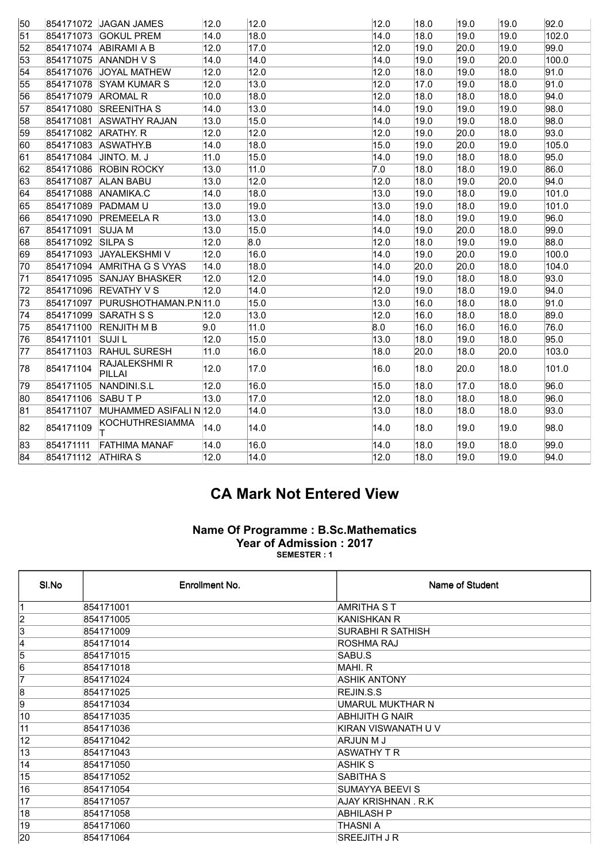| 51<br>854171073 GOKUL PREM<br>52<br>854171074 ABIRAMI A B | 14.0<br>12.0<br>14.0    | 18.0<br>17.0 | 14.0 | 18.0 | 19.0 | 19.0 | 102.0 |
|-----------------------------------------------------------|-------------------------|--------------|------|------|------|------|-------|
|                                                           |                         |              |      |      |      |      |       |
|                                                           |                         |              | 12.0 | 19.0 | 20.0 | 19.0 | 99.0  |
| 53<br>854171075 ANANDH V S                                |                         | 14.0         | 14.0 | 19.0 | 19.0 | 20.0 | 100.0 |
| 54<br>854171076 JOYAL MATHEW                              | 12.0                    | 12.0         | 12.0 | 18.0 | 19.0 | 18.0 | 91.0  |
| 55<br>854171078 SYAM KUMAR S                              | 12.0                    | 13.0         | 12.0 | 17.0 | 19.0 | 18.0 | 91.0  |
| 854171079 AROMAL R<br>56                                  | 10.0                    | 18.0         | 12.0 | 18.0 | 18.0 | 18.0 | 94.0  |
| 57<br>854171080 SREENITHA S                               | 14.0                    | 13.0         | 14.0 | 19.0 | 19.0 | 19.0 | 98.0  |
| 854171081 ASWATHY RAJAN<br>58                             | 13.0                    | 15.0         | 14.0 | 19.0 | 19.0 | 18.0 | 98.0  |
| 59<br>854171082 ARATHY. R                                 | 12.0                    | 12.0         | 12.0 | 19.0 | 20.0 | 18.0 | 93.0  |
| 854171083 ASWATHY.B<br>60                                 | 14.0                    | 18.0         | 15.0 | 19.0 | 20.0 | 19.0 | 105.0 |
| 854171084 JINTO. M. J<br>61                               | 11.0                    | 15.0         | 14.0 | 19.0 | 18.0 | 18.0 | 95.0  |
| 854171086 ROBIN ROCKY<br>62                               | 13.0                    | 11.0         | 7.0  | 18.0 | 18.0 | 19.0 | 86.0  |
| 854171087 ALAN BABU<br>63                                 | 13.0                    | 12.0         | 12.0 | 18.0 | 19.0 | 20.0 | 94.0  |
| 854171088 ANAMIKA.C<br>64                                 | 14.0                    | 18.0         | 13.0 | 19.0 | 18.0 | 19.0 | 101.0 |
| 854171089 PADMAM U<br>65                                  | 13.0                    | 19.0         | 13.0 | 19.0 | 18.0 | 19.0 | 101.0 |
| 854171090 PREMEELA R<br>166                               | 13.0                    | 13.0         | 14.0 | 18.0 | 19.0 | 19.0 | 96.0  |
| 67<br>854171091 SUJA M                                    | 13.0                    | 15.0         | 14.0 | 19.0 | 20.0 | 18.0 | 99.0  |
| 854171092 SILPA S<br>68                                   | 12.0                    | 8.0          | 12.0 | 18.0 | 19.0 | 19.0 | 88.0  |
| 854171093 JAYALEKSHMI V<br>69                             | 12.0                    | 16.0         | 14.0 | 19.0 | 20.0 | 19.0 | 100.0 |
| 854171094 AMRITHA G S VYAS<br>170                         | 14.0                    | 18.0         | 14.0 | 20.0 | 20.0 | 18.0 | 104.0 |
| 854171095 SANJAY BHASKER<br>71                            | 12.0                    | 12.0         | 14.0 | 19.0 | 18.0 | 18.0 | 93.0  |
| 72<br>854171096 REVATHY V S                               | 12.0                    | 14.0         | 12.0 | 19.0 | 18.0 | 19.0 | 94.0  |
| 854171097 PURUSHOTHAMAN.P.N 11.0<br>73                    |                         | 15.0         | 13.0 | 16.0 | 18.0 | 18.0 | 91.0  |
| 74<br>854171099 SARATH S S                                | 12.0                    | 13.0         | 12.0 | 16.0 | 18.0 | 18.0 | 89.0  |
| 75<br>854171100 RENJITH M B                               | 9.0                     | 11.0         | 8.0  | 16.0 | 16.0 | 16.0 | 76.0  |
| 854171101<br><b>SUJIL</b><br>76                           | 12.0                    | 15.0         | 13.0 | 18.0 | 19.0 | 18.0 | 95.0  |
| 77<br>854171103 RAHUL SURESH                              | 11.0                    | 16.0         | 18.0 | 20.0 | 18.0 | 20.0 | 103.0 |
| RAJALEKSHMI R<br>854171104<br> 78<br>PILLAI               | 12.0                    | 17.0         | 16.0 | 18.0 | 20.0 | 18.0 | 101.0 |
| 79<br>854171105<br>NANDINI.S.L                            | 12.0                    | 16.0         | 15.0 | 18.0 | 17.0 | 18.0 | 96.0  |
| 80<br>854171106 SABUT P                                   | 13.0                    | 17.0         | 12.0 | 18.0 | 18.0 | 18.0 | 96.0  |
| 81<br>854171107                                           | MUHAMMED ASIFALI N 12.0 | 14.0         | 13.0 | 18.0 | 18.0 | 18.0 | 93.0  |
| <b>KOCHUTHRESIAMMA</b><br>854171109<br>82                 | 14.0                    | 14.0         | 14.0 | 18.0 | 19.0 | 19.0 | 98.0  |
| 854171111<br>83<br><b>FATHIMA MANAF</b>                   | 14.0                    | 16.0         | 14.0 | 18.0 | 19.0 | 18.0 | 99.0  |
| 84<br>854171112 ATHIRA S                                  | 12.0                    | 14.0         | 12.0 | 18.0 | 19.0 | 19.0 | 94.0  |

## CA Mark Not Entered View

## Name Of Programme : B.Sc.Mathematics Year of Admission : 2017 SEMESTER : 1

| SI.No           | Enrollment No. | Name of Student     |
|-----------------|----------------|---------------------|
|                 | 854171001      | <b>AMRITHA ST</b>   |
| $\overline{2}$  | 854171005      | KANISHKAN R         |
| 3               | 854171009      | SURABHI R SATHISH   |
| 4               | 854171014      | ROSHMA RAJ          |
| 5               | 854171015      | SABU.S              |
| 6               | 854171018      | MAHI. R             |
| 7               | 854171024      | <b>ASHIK ANTONY</b> |
| 8               | 854171025      | REJIN.S.S           |
| 9               | 854171034      | UMARUL MUKTHAR N    |
| 10              | 854171035      | ABHIJITH G NAIR     |
| 11              | 854171036      | KIRAN VISWANATH U V |
| $\overline{12}$ | 854171042      | ARJUN M J           |
| $\overline{13}$ | 854171043      | <b>ASWATHY T R</b>  |
| $\overline{14}$ | 854171050      | ASHIK S             |
| $\overline{15}$ | 854171052      | <b>SABITHA S</b>    |
| 16              | 854171054      | SUMAYYA BEEVI S     |
| 17              | 854171057      | AJAY KRISHNAN, R.K. |
| 18              | 854171058      | <b>ABHILASH P</b>   |
| 19              | 854171060      | THASNI A            |
| 20              | 854171064      | <b>SREEJITH J R</b> |